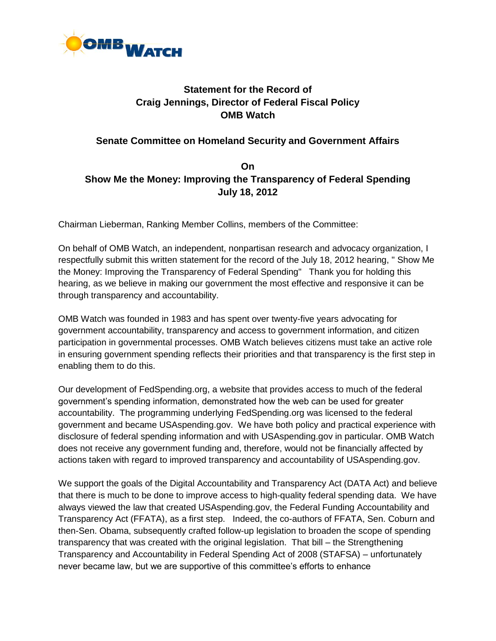

# **Statement for the Record of Craig Jennings, Director of Federal Fiscal Policy OMB Watch**

#### **Senate Committee on Homeland Security and Government Affairs**

## **On Show Me the Money: Improving the Transparency of Federal Spending July 18, 2012**

Chairman Lieberman, Ranking Member Collins, members of the Committee:

On behalf of OMB Watch, an independent, nonpartisan research and advocacy organization, I respectfully submit this written statement for the record of the July 18, 2012 hearing, " Show Me the Money: Improving the Transparency of Federal Spending" Thank you for holding this hearing, as we believe in making our government the most effective and responsive it can be through transparency and accountability.

OMB Watch was founded in 1983 and has spent over twenty-five years advocating for government accountability, transparency and access to government information, and citizen participation in governmental processes. OMB Watch believes citizens must take an active role in ensuring government spending reflects their priorities and that transparency is the first step in enabling them to do this.

Our development of FedSpending.org, a website that provides access to much of the federal government's spending information, demonstrated how the web can be used for greater accountability. The programming underlying FedSpending.org was licensed to the federal government and became USAspending.gov. We have both policy and practical experience with disclosure of federal spending information and with USAspending.gov in particular. OMB Watch does not receive any government funding and, therefore, would not be financially affected by actions taken with regard to improved transparency and accountability of USAspending.gov.

We support the goals of the Digital Accountability and Transparency Act (DATA Act) and believe that there is much to be done to improve access to high-quality federal spending data. We have always viewed the law that created USAspending.gov, the Federal Funding Accountability and Transparency Act (FFATA), as a first step. Indeed, the co-authors of FFATA, Sen. Coburn and then-Sen. Obama, subsequently crafted follow-up legislation to broaden the scope of spending transparency that was created with the original legislation. That bill – the Strengthening Transparency and Accountability in Federal Spending Act of 2008 (STAFSA) – unfortunately never became law, but we are supportive of this committee's efforts to enhance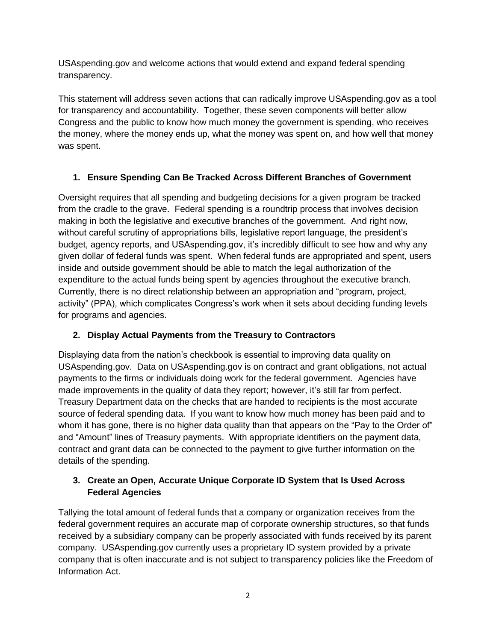USAspending.gov and welcome actions that would extend and expand federal spending transparency.

This statement will address seven actions that can radically improve USAspending.gov as a tool for transparency and accountability. Together, these seven components will better allow Congress and the public to know how much money the government is spending, who receives the money, where the money ends up, what the money was spent on, and how well that money was spent.

## **1. Ensure Spending Can Be Tracked Across Different Branches of Government**

Oversight requires that all spending and budgeting decisions for a given program be tracked from the cradle to the grave. Federal spending is a roundtrip process that involves decision making in both the legislative and executive branches of the government. And right now, without careful scrutiny of appropriations bills, legislative report language, the president's budget, agency reports, and USAspending.gov, it's incredibly difficult to see how and why any given dollar of federal funds was spent. When federal funds are appropriated and spent, users inside and outside government should be able to match the legal authorization of the expenditure to the actual funds being spent by agencies throughout the executive branch. Currently, there is no direct relationship between an appropriation and "program, project, activity" (PPA), which complicates Congress's work when it sets about deciding funding levels for programs and agencies.

## **2. Display Actual Payments from the Treasury to Contractors**

Displaying data from the nation's checkbook is essential to improving data quality on USAspending.gov. Data on USAspending.gov is on contract and grant obligations, not actual payments to the firms or individuals doing work for the federal government. Agencies have made improvements in the quality of data they report; however, it's still far from perfect. Treasury Department data on the checks that are handed to recipients is the most accurate source of federal spending data. If you want to know how much money has been paid and to whom it has gone, there is no higher data quality than that appears on the "Pay to the Order of" and "Amount" lines of Treasury payments. With appropriate identifiers on the payment data, contract and grant data can be connected to the payment to give further information on the details of the spending.

## **3. Create an Open, Accurate Unique Corporate ID System that Is Used Across Federal Agencies**

Tallying the total amount of federal funds that a company or organization receives from the federal government requires an accurate map of corporate ownership structures, so that funds received by a subsidiary company can be properly associated with funds received by its parent company. USAspending.gov currently uses a proprietary ID system provided by a private company that is often inaccurate and is not subject to transparency policies like the Freedom of Information Act.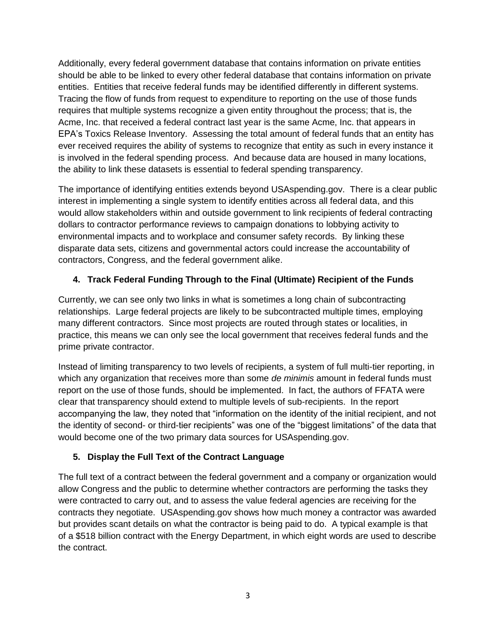Additionally, every federal government database that contains information on private entities should be able to be linked to every other federal database that contains information on private entities. Entities that receive federal funds may be identified differently in different systems. Tracing the flow of funds from request to expenditure to reporting on the use of those funds requires that multiple systems recognize a given entity throughout the process; that is, the Acme, Inc. that received a federal contract last year is the same Acme, Inc. that appears in EPA's Toxics Release Inventory. Assessing the total amount of federal funds that an entity has ever received requires the ability of systems to recognize that entity as such in every instance it is involved in the federal spending process. And because data are housed in many locations, the ability to link these datasets is essential to federal spending transparency.

The importance of identifying entities extends beyond USAspending.gov. There is a clear public interest in implementing a single system to identify entities across all federal data, and this would allow stakeholders within and outside government to link recipients of federal contracting dollars to contractor performance reviews to campaign donations to lobbying activity to environmental impacts and to workplace and consumer safety records. By linking these disparate data sets, citizens and governmental actors could increase the accountability of contractors, Congress, and the federal government alike.

#### **4. Track Federal Funding Through to the Final (Ultimate) Recipient of the Funds**

Currently, we can see only two links in what is sometimes a long chain of subcontracting relationships. Large federal projects are likely to be subcontracted multiple times, employing many different contractors. Since most projects are routed through states or localities, in practice, this means we can only see the local government that receives federal funds and the prime private contractor.

Instead of limiting transparency to two levels of recipients, a system of full multi-tier reporting, in which any organization that receives more than some *de minimis* amount in federal funds must report on the use of those funds, should be implemented. In fact, the authors of FFATA were clear that transparency should extend to multiple levels of sub-recipients. In the report accompanying the law, they noted that "information on the identity of the initial recipient, and not the identity of second- or third-tier recipients" was one of the "biggest limitations" of the data that would become one of the two primary data sources for USAspending.gov.

## **5. Display the Full Text of the Contract Language**

The full text of a contract between the federal government and a company or organization would allow Congress and the public to determine whether contractors are performing the tasks they were contracted to carry out, and to assess the value federal agencies are receiving for the contracts they negotiate. USAspending.gov shows how much money a contractor was awarded but provides scant details on what the contractor is being paid to do. A typical example is that of a \$518 billion contract with the Energy Department, in which eight words are used to describe the contract.